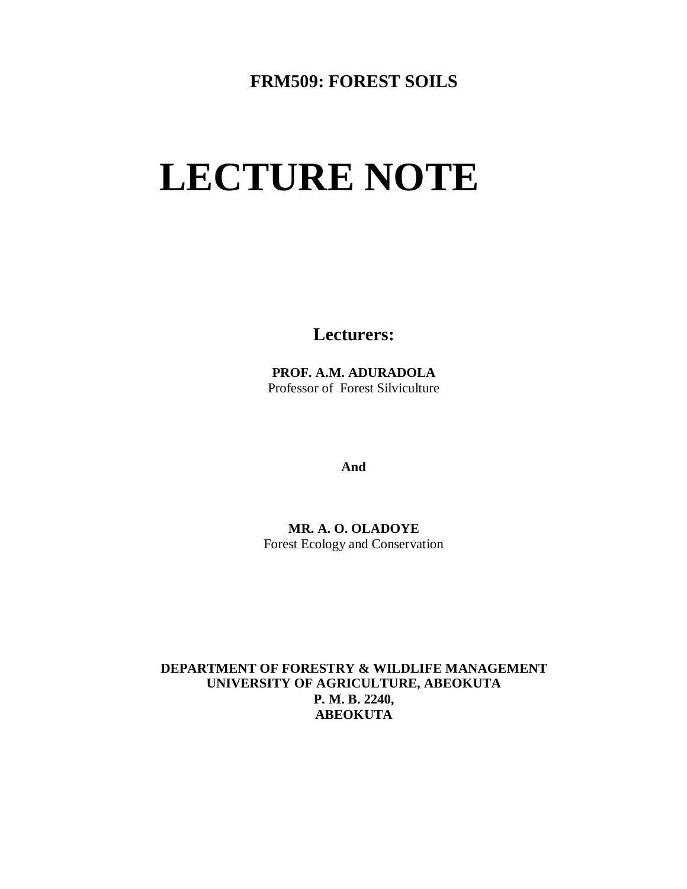### **FRM509: FOREST SOILS**

# **LECTURE NOTE**

**Lecturers:**

**PROF. A.M. ADURADOLA** Professor of Forest Silviculture

**And**

**MR. A. O. OLADOYE** Forest Ecology and Conservation

**DEPARTMENT OF FORESTRY & WILDLIFE MANAGEMENT UNIVERSITY OF AGRICULTURE, ABEOKUTA P. M. B. 2240, ABEOKUTA**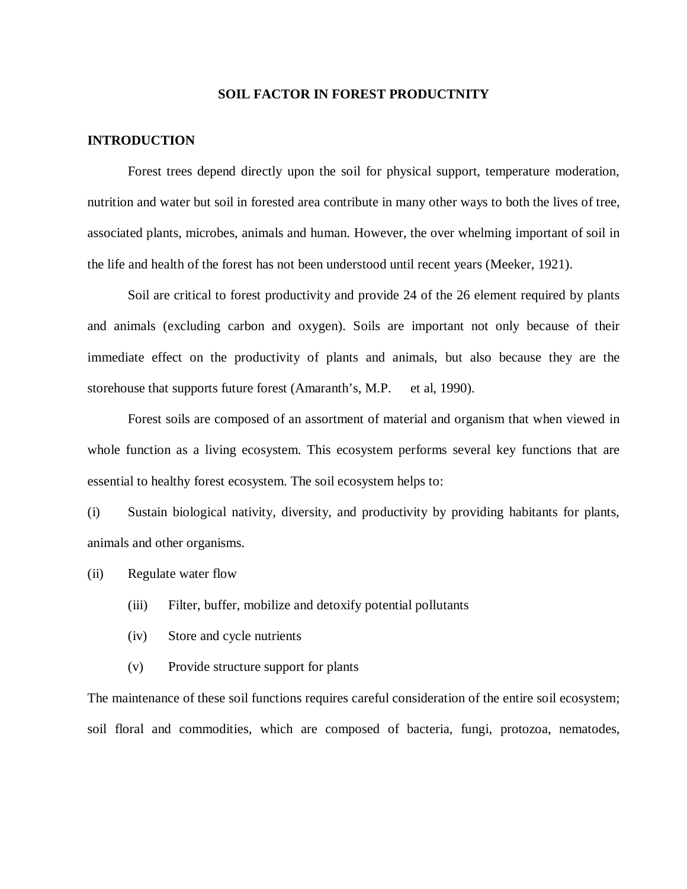#### **SOIL FACTOR IN FOREST PRODUCTNITY**

#### **INTRODUCTION**

Forest trees depend directly upon the soil for physical support, temperature moderation, nutrition and water but soil in forested area contribute in many other ways to both the lives of tree, associated plants, microbes, animals and human. However, the over whelming important of soil in the life and health of the forest has not been understood until recent years (Meeker, 1921).

Soil are critical to forest productivity and provide 24 of the 26 element required by plants and animals (excluding carbon and oxygen). Soils are important not only because of their immediate effect on the productivity of plants and animals, but also because they are the storehouse that supports future forest (Amaranth's, M.P. et al, 1990).

Forest soils are composed of an assortment of material and organism that when viewed in whole function as a living ecosystem. This ecosystem performs several key functions that are essential to healthy forest ecosystem. The soil ecosystem helps to:

(i) Sustain biological nativity, diversity, and productivity by providing habitants for plants, animals and other organisms.

(ii) Regulate water flow

- (iii) Filter, buffer, mobilize and detoxify potential pollutants
- (iv) Store and cycle nutrients
- (v) Provide structure support for plants

The maintenance of these soil functions requires careful consideration of the entire soil ecosystem; soil floral and commodities, which are composed of bacteria, fungi, protozoa, nematodes,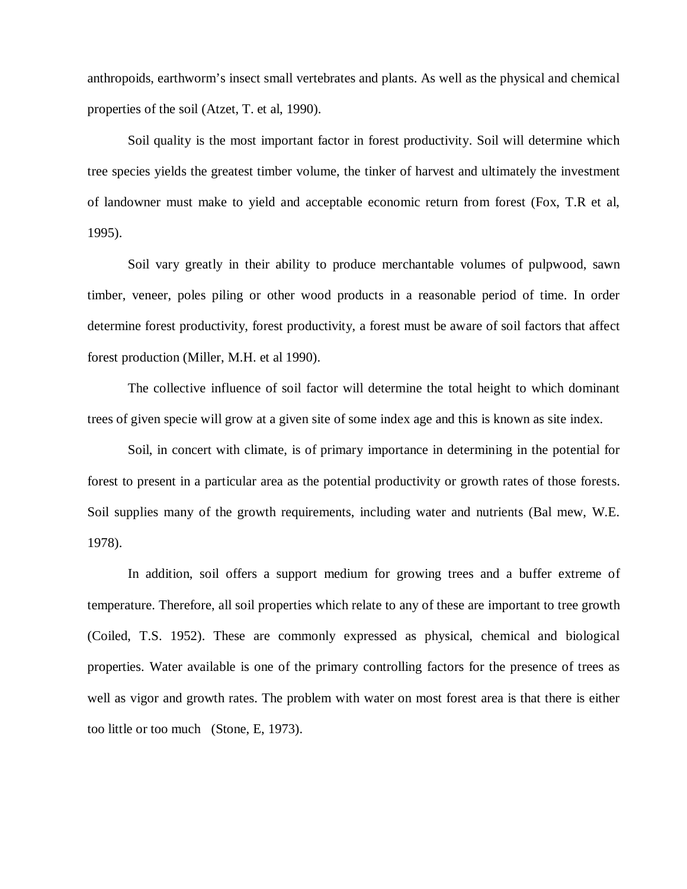anthropoids, earthworm's insect small vertebrates and plants. As well as the physical and chemical properties of the soil (Atzet, T. et al, 1990).

Soil quality is the most important factor in forest productivity. Soil will determine which tree species yields the greatest timber volume, the tinker of harvest and ultimately the investment of landowner must make to yield and acceptable economic return from forest (Fox, T.R et al, 1995).

Soil vary greatly in their ability to produce merchantable volumes of pulpwood, sawn timber, veneer, poles piling or other wood products in a reasonable period of time. In order determine forest productivity, forest productivity, a forest must be aware of soil factors that affect forest production (Miller, M.H. et al 1990).

The collective influence of soil factor will determine the total height to which dominant trees of given specie will grow at a given site of some index age and this is known as site index.

Soil, in concert with climate, is of primary importance in determining in the potential for forest to present in a particular area as the potential productivity or growth rates of those forests. Soil supplies many of the growth requirements, including water and nutrients (Bal mew, W.E. 1978).

In addition, soil offers a support medium for growing trees and a buffer extreme of temperature. Therefore, all soil properties which relate to any of these are important to tree growth (Coiled, T.S. 1952). These are commonly expressed as physical, chemical and biological properties. Water available is one of the primary controlling factors for the presence of trees as well as vigor and growth rates. The problem with water on most forest area is that there is either too little or too much (Stone, E, 1973).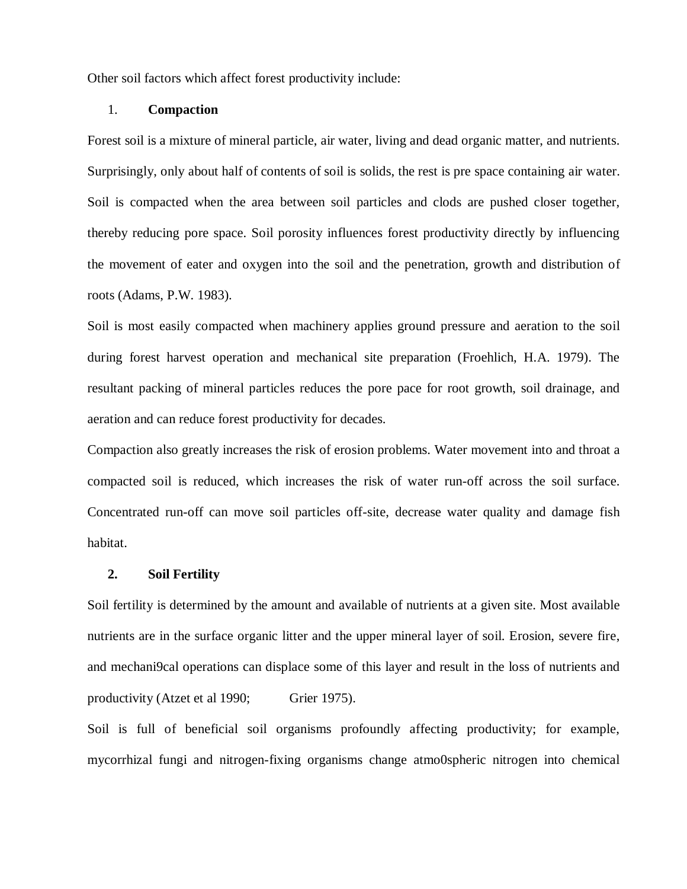Other soil factors which affect forest productivity include:

#### 1. **Compaction**

Forest soil is a mixture of mineral particle, air water, living and dead organic matter, and nutrients. Surprisingly, only about half of contents of soil is solids, the rest is pre space containing air water. Soil is compacted when the area between soil particles and clods are pushed closer together, thereby reducing pore space. Soil porosity influences forest productivity directly by influencing the movement of eater and oxygen into the soil and the penetration, growth and distribution of roots (Adams, P.W. 1983).

Soil is most easily compacted when machinery applies ground pressure and aeration to the soil during forest harvest operation and mechanical site preparation (Froehlich, H.A. 1979). The resultant packing of mineral particles reduces the pore pace for root growth, soil drainage, and aeration and can reduce forest productivity for decades.

Compaction also greatly increases the risk of erosion problems. Water movement into and throat a compacted soil is reduced, which increases the risk of water run-off across the soil surface. Concentrated run-off can move soil particles off-site, decrease water quality and damage fish habitat.

#### **2. Soil Fertility**

Soil fertility is determined by the amount and available of nutrients at a given site. Most available nutrients are in the surface organic litter and the upper mineral layer of soil. Erosion, severe fire, and mechani9cal operations can displace some of this layer and result in the loss of nutrients and productivity (Atzet et al 1990; Grier 1975).

Soil is full of beneficial soil organisms profoundly affecting productivity; for example, mycorrhizal fungi and nitrogen-fixing organisms change atmo0spheric nitrogen into chemical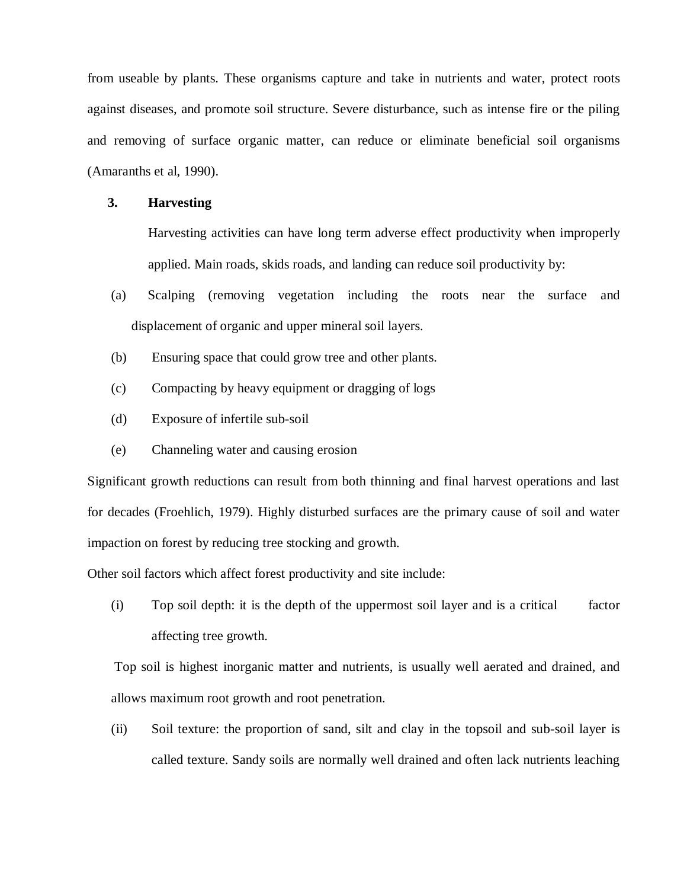from useable by plants. These organisms capture and take in nutrients and water, protect roots against diseases, and promote soil structure. Severe disturbance, such as intense fire or the piling and removing of surface organic matter, can reduce or eliminate beneficial soil organisms (Amaranths et al, 1990).

#### **3. Harvesting**

Harvesting activities can have long term adverse effect productivity when improperly applied. Main roads, skids roads, and landing can reduce soil productivity by:

- (a) Scalping (removing vegetation including the roots near the surface and displacement of organic and upper mineral soil layers.
- (b) Ensuring space that could grow tree and other plants.
- (c) Compacting by heavy equipment or dragging of logs
- (d) Exposure of infertile sub-soil
- (e) Channeling water and causing erosion

Significant growth reductions can result from both thinning and final harvest operations and last for decades (Froehlich, 1979). Highly disturbed surfaces are the primary cause of soil and water impaction on forest by reducing tree stocking and growth.

Other soil factors which affect forest productivity and site include:

(i) Top soil depth: it is the depth of the uppermost soil layer and is a critical factor affecting tree growth.

Top soil is highest inorganic matter and nutrients, is usually well aerated and drained, and allows maximum root growth and root penetration.

(ii) Soil texture: the proportion of sand, silt and clay in the topsoil and sub-soil layer is called texture. Sandy soils are normally well drained and often lack nutrients leaching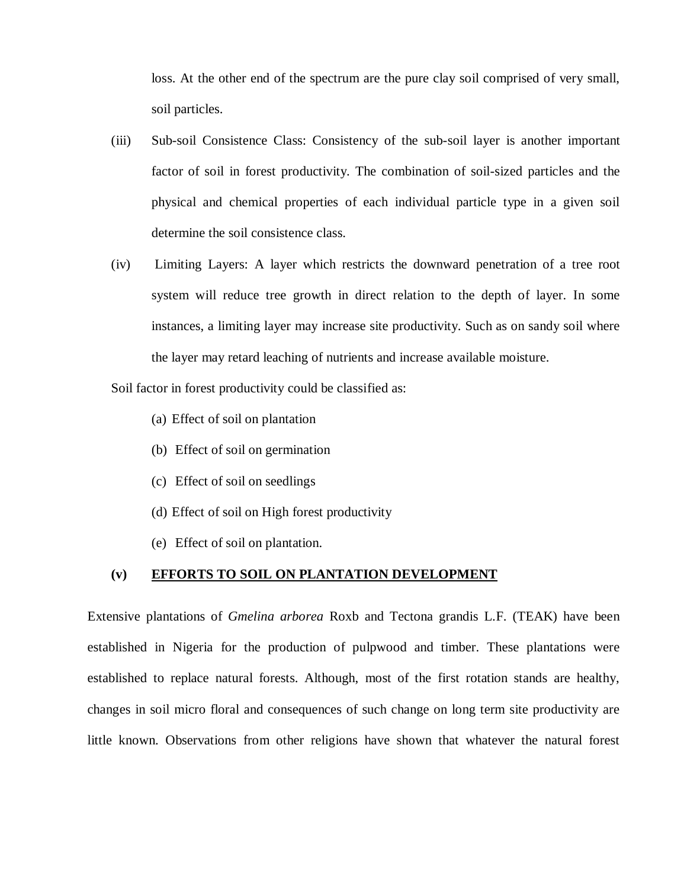loss. At the other end of the spectrum are the pure clay soil comprised of very small, soil particles.

- (iii) Sub-soil Consistence Class: Consistency of the sub-soil layer is another important factor of soil in forest productivity. The combination of soil-sized particles and the physical and chemical properties of each individual particle type in a given soil determine the soil consistence class.
- (iv) Limiting Layers: A layer which restricts the downward penetration of a tree root system will reduce tree growth in direct relation to the depth of layer. In some instances, a limiting layer may increase site productivity. Such as on sandy soil where the layer may retard leaching of nutrients and increase available moisture.

Soil factor in forest productivity could be classified as:

- (a) Effect of soil on plantation
- (b) Effect of soil on germination
- (c) Effect of soil on seedlings
- (d) Effect of soil on High forest productivity
- (e) Effect of soil on plantation.

#### **(v) EFFORTS TO SOIL ON PLANTATION DEVELOPMENT**

Extensive plantations of *Gmelina arborea* Roxb and Tectona grandis L.F. (TEAK) have been established in Nigeria for the production of pulpwood and timber. These plantations were established to replace natural forests. Although, most of the first rotation stands are healthy, changes in soil micro floral and consequences of such change on long term site productivity are little known. Observations from other religions have shown that whatever the natural forest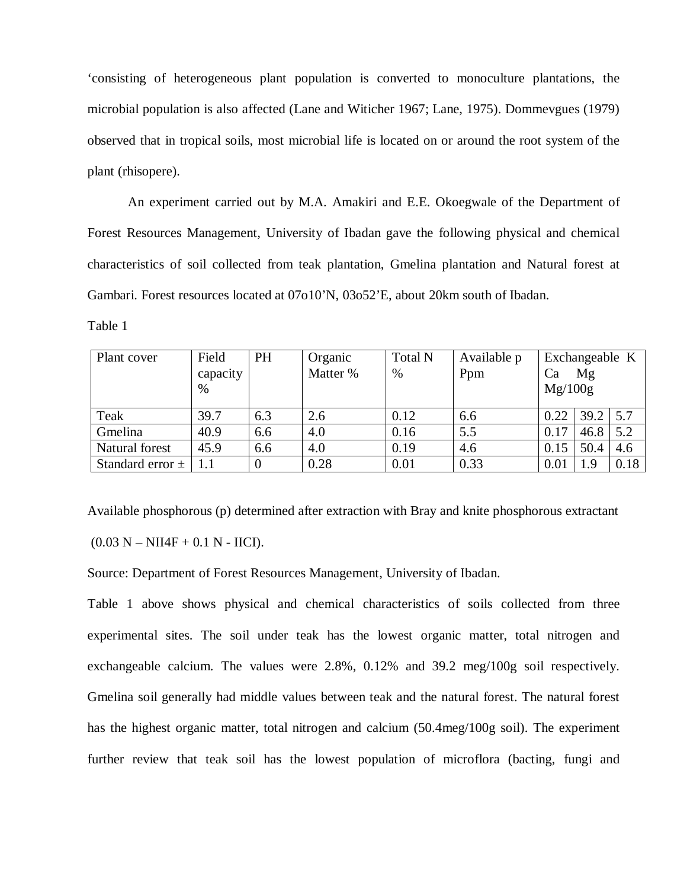'consisting of heterogeneous plant population is converted to monoculture plantations, the microbial population is also affected (Lane and Witicher 1967; Lane, 1975). Dommevgues (1979) observed that in tropical soils, most microbial life is located on or around the root system of the plant (rhisopere).

An experiment carried out by M.A. Amakiri and E.E. Okoegwale of the Department of Forest Resources Management, University of Ibadan gave the following physical and chemical characteristics of soil collected from teak plantation, Gmelina plantation and Natural forest at Gambari. Forest resources located at 07o10'N, 03o52'E, about 20km south of Ibadan.

Table 1

| Plant cover          | Field    | PH             | Organic  | <b>Total N</b> | Available p | Exchangeable K |      |      |
|----------------------|----------|----------------|----------|----------------|-------------|----------------|------|------|
|                      | capacity |                | Matter % | %              | Ppm         | Ca             | Mg   |      |
|                      | $\%$     |                |          |                |             | Mg/100g        |      |      |
|                      |          |                |          |                |             |                |      |      |
| Teak                 | 39.7     | 6.3            | 2.6      | 0.12           | 6.6         | 0.22           | 39.2 | 5.7  |
| Gmelina              | 40.9     | 6.6            | 4.0      | 0.16           | 5.5         | 0.17           | 46.8 | 5.2  |
| Natural forest       | 45.9     | 6.6            | 4.0      | 0.19           | 4.6         | 0.15           | 50.4 | 4.6  |
| Standard error $\pm$ |          | $\overline{0}$ | 0.28     | 0.01           | 0.33        | 0.01           | 1.9  | 0.18 |

Available phosphorous (p) determined after extraction with Bray and knite phosphorous extractant

 $(0.03 N - NI14F + 0.1 N - IICI).$ 

Source: Department of Forest Resources Management, University of Ibadan.

Table 1 above shows physical and chemical characteristics of soils collected from three experimental sites. The soil under teak has the lowest organic matter, total nitrogen and exchangeable calcium. The values were 2.8%, 0.12% and 39.2 meg/100g soil respectively. Gmelina soil generally had middle values between teak and the natural forest. The natural forest has the highest organic matter, total nitrogen and calcium (50.4meg/100g soil). The experiment further review that teak soil has the lowest population of microflora (bacting, fungi and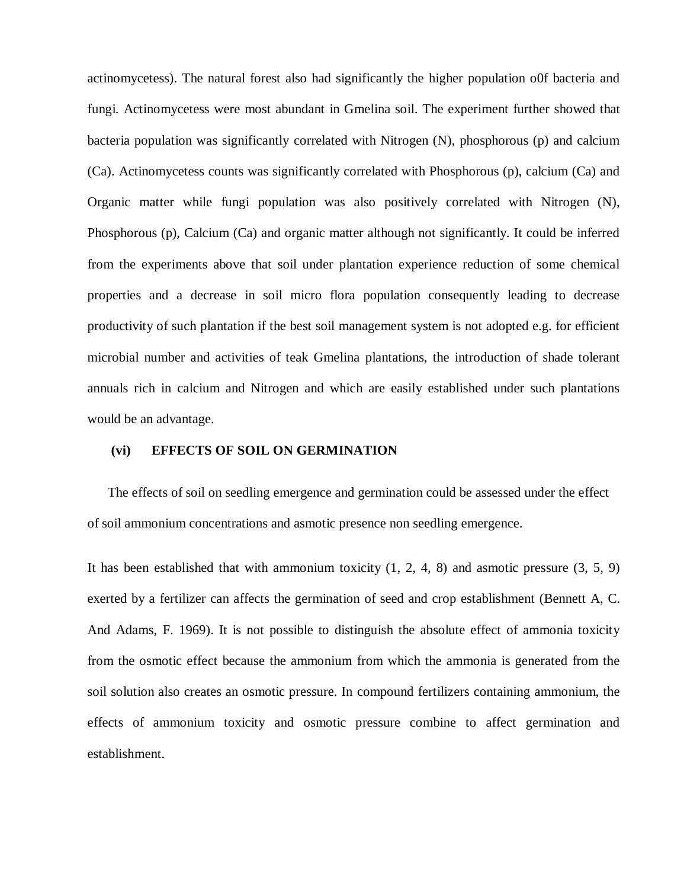actinomycetess). The natural forest also had significantly the higher population o0f bacteria and fungi. Actinomycetess were most abundant in Gmelina soil. The experiment further showed that bacteria population was significantly correlated with Nitrogen (N), phosphorous (p) and calcium (Ca). Actinomycetess counts was significantly correlated with Phosphorous (p), calcium (Ca) and Organic matter while fungi population was also positively correlated with Nitrogen (N), Phosphorous (p), Calcium (Ca) and organic matter although not significantly. It could be inferred from the experiments above that soil under plantation experience reduction of some chemical properties and a decrease in soil micro flora population consequently leading to decrease productivity of such plantation if the best soil management system is not adopted e.g. for efficient microbial number and activities of teak Gmelina plantations, the introduction of shade tolerant annuals rich in calcium and Nitrogen and which are easily established under such plantations would be an advantage.

#### **(vi) EFFECTS OF SOIL ON GERMINATION**

The effects of soil on seedling emergence and germination could be assessed under the effect of soil ammonium concentrations and asmotic presence non seedling emergence.

It has been established that with ammonium toxicity  $(1, 2, 4, 8)$  and asmotic pressure  $(3, 5, 9)$ exerted by a fertilizer can affects the germination of seed and crop establishment (Bennett A, C. And Adams, F. 1969). It is not possible to distinguish the absolute effect of ammonia toxicity from the osmotic effect because the ammonium from which the ammonia is generated from the soil solution also creates an osmotic pressure. In compound fertilizers containing ammonium, the effects of ammonium toxicity and osmotic pressure combine to affect germination and establishment.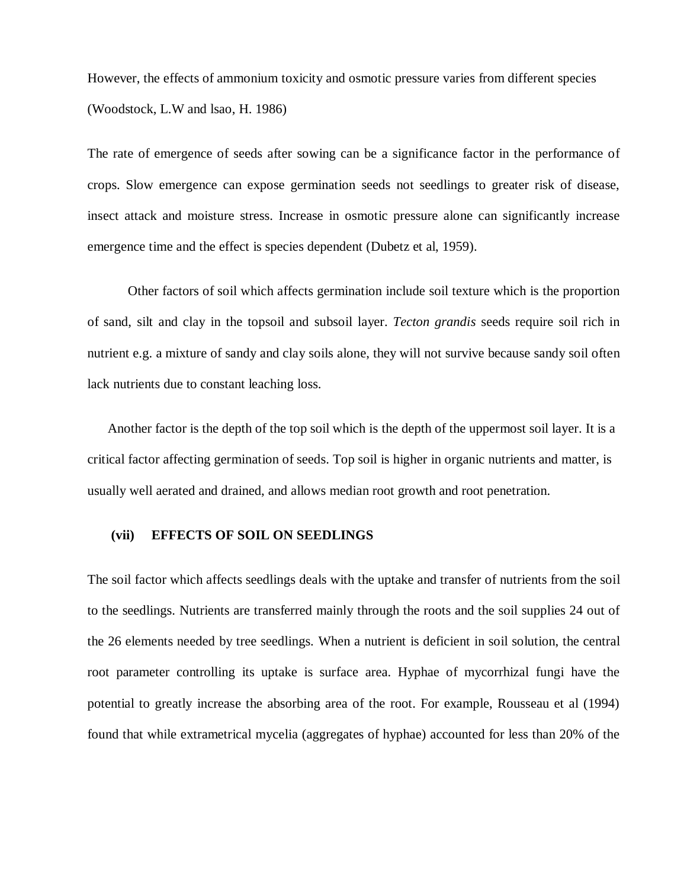However, the effects of ammonium toxicity and osmotic pressure varies from different species (Woodstock, L.W and lsao, H. 1986)

The rate of emergence of seeds after sowing can be a significance factor in the performance of crops. Slow emergence can expose germination seeds not seedlings to greater risk of disease, insect attack and moisture stress. Increase in osmotic pressure alone can significantly increase emergence time and the effect is species dependent (Dubetz et al, 1959).

Other factors of soil which affects germination include soil texture which is the proportion of sand, silt and clay in the topsoil and subsoil layer. *Tecton grandis* seeds require soil rich in nutrient e.g. a mixture of sandy and clay soils alone, they will not survive because sandy soil often lack nutrients due to constant leaching loss.

Another factor is the depth of the top soil which is the depth of the uppermost soil layer. It is a critical factor affecting germination of seeds. Top soil is higher in organic nutrients and matter, is usually well aerated and drained, and allows median root growth and root penetration.

#### **(vii) EFFECTS OF SOIL ON SEEDLINGS**

The soil factor which affects seedlings deals with the uptake and transfer of nutrients from the soil to the seedlings. Nutrients are transferred mainly through the roots and the soil supplies 24 out of the 26 elements needed by tree seedlings. When a nutrient is deficient in soil solution, the central root parameter controlling its uptake is surface area. Hyphae of mycorrhizal fungi have the potential to greatly increase the absorbing area of the root. For example, Rousseau et al (1994) found that while extrametrical mycelia (aggregates of hyphae) accounted for less than 20% of the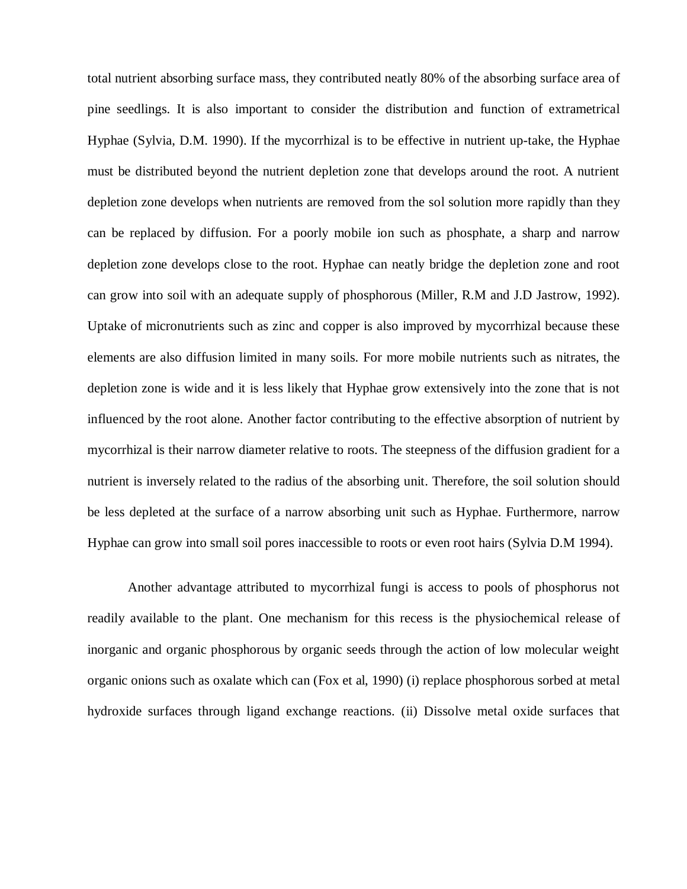total nutrient absorbing surface mass, they contributed neatly 80% of the absorbing surface area of pine seedlings. It is also important to consider the distribution and function of extrametrical Hyphae (Sylvia, D.M. 1990). If the mycorrhizal is to be effective in nutrient up-take, the Hyphae must be distributed beyond the nutrient depletion zone that develops around the root. A nutrient depletion zone develops when nutrients are removed from the sol solution more rapidly than they can be replaced by diffusion. For a poorly mobile ion such as phosphate, a sharp and narrow depletion zone develops close to the root. Hyphae can neatly bridge the depletion zone and root can grow into soil with an adequate supply of phosphorous (Miller, R.M and J.D Jastrow, 1992). Uptake of micronutrients such as zinc and copper is also improved by mycorrhizal because these elements are also diffusion limited in many soils. For more mobile nutrients such as nitrates, the depletion zone is wide and it is less likely that Hyphae grow extensively into the zone that is not influenced by the root alone. Another factor contributing to the effective absorption of nutrient by mycorrhizal is their narrow diameter relative to roots. The steepness of the diffusion gradient for a nutrient is inversely related to the radius of the absorbing unit. Therefore, the soil solution should be less depleted at the surface of a narrow absorbing unit such as Hyphae. Furthermore, narrow Hyphae can grow into small soil pores inaccessible to roots or even root hairs (Sylvia D.M 1994).

Another advantage attributed to mycorrhizal fungi is access to pools of phosphorus not readily available to the plant. One mechanism for this recess is the physiochemical release of inorganic and organic phosphorous by organic seeds through the action of low molecular weight organic onions such as oxalate which can (Fox et al, 1990) (i) replace phosphorous sorbed at metal hydroxide surfaces through ligand exchange reactions. (ii) Dissolve metal oxide surfaces that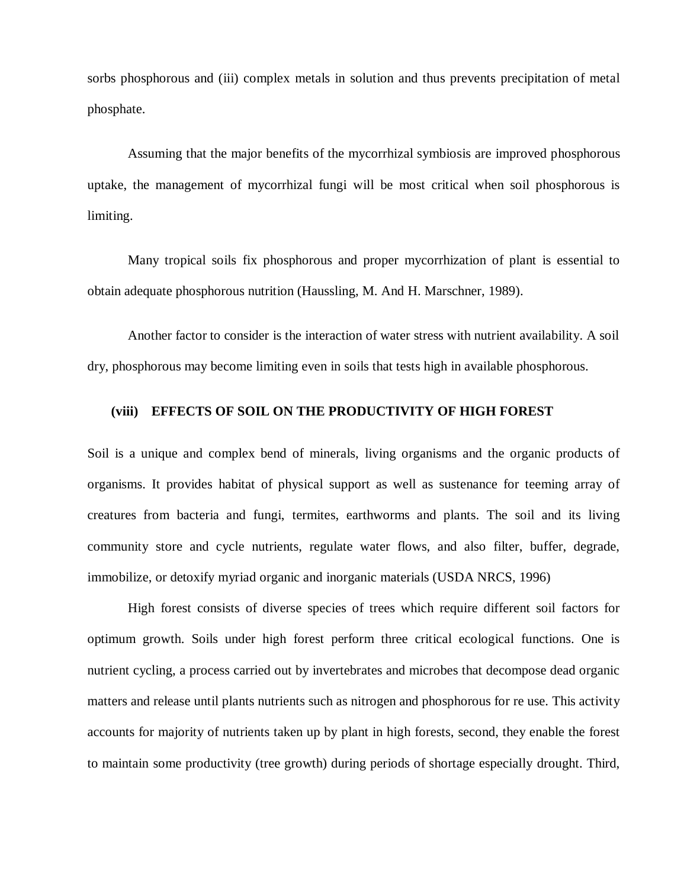sorbs phosphorous and (iii) complex metals in solution and thus prevents precipitation of metal phosphate.

Assuming that the major benefits of the mycorrhizal symbiosis are improved phosphorous uptake, the management of mycorrhizal fungi will be most critical when soil phosphorous is limiting.

Many tropical soils fix phosphorous and proper mycorrhization of plant is essential to obtain adequate phosphorous nutrition (Haussling, M. And H. Marschner, 1989).

Another factor to consider is the interaction of water stress with nutrient availability. A soil dry, phosphorous may become limiting even in soils that tests high in available phosphorous.

#### **(viii) EFFECTS OF SOIL ON THE PRODUCTIVITY OF HIGH FOREST**

Soil is a unique and complex bend of minerals, living organisms and the organic products of organisms. It provides habitat of physical support as well as sustenance for teeming array of creatures from bacteria and fungi, termites, earthworms and plants. The soil and its living community store and cycle nutrients, regulate water flows, and also filter, buffer, degrade, immobilize, or detoxify myriad organic and inorganic materials (USDA NRCS, 1996)

High forest consists of diverse species of trees which require different soil factors for optimum growth. Soils under high forest perform three critical ecological functions. One is nutrient cycling, a process carried out by invertebrates and microbes that decompose dead organic matters and release until plants nutrients such as nitrogen and phosphorous for re use. This activity accounts for majority of nutrients taken up by plant in high forests, second, they enable the forest to maintain some productivity (tree growth) during periods of shortage especially drought. Third,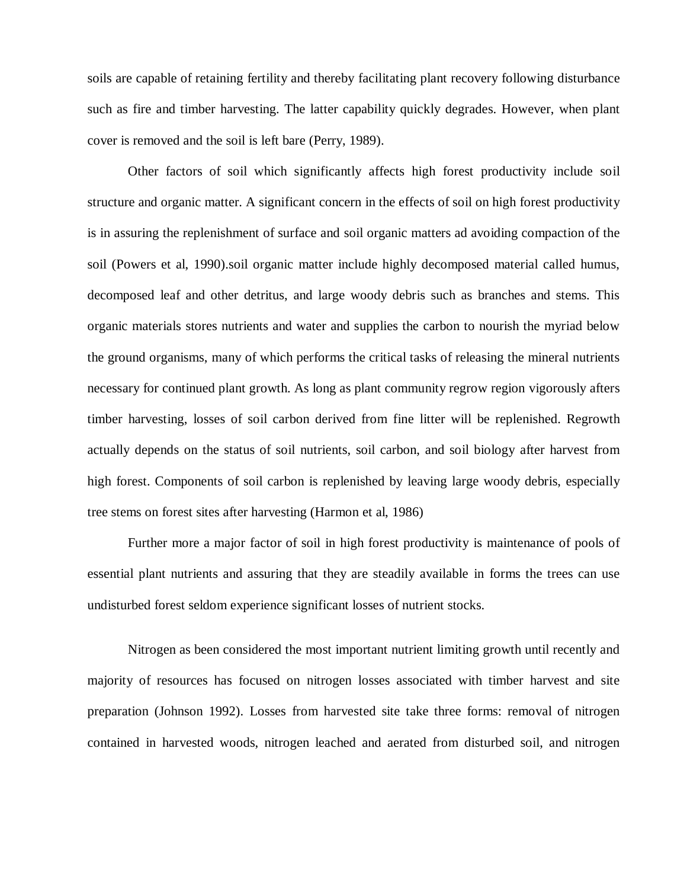soils are capable of retaining fertility and thereby facilitating plant recovery following disturbance such as fire and timber harvesting. The latter capability quickly degrades. However, when plant cover is removed and the soil is left bare (Perry, 1989).

Other factors of soil which significantly affects high forest productivity include soil structure and organic matter. A significant concern in the effects of soil on high forest productivity is in assuring the replenishment of surface and soil organic matters ad avoiding compaction of the soil (Powers et al, 1990).soil organic matter include highly decomposed material called humus, decomposed leaf and other detritus, and large woody debris such as branches and stems. This organic materials stores nutrients and water and supplies the carbon to nourish the myriad below the ground organisms, many of which performs the critical tasks of releasing the mineral nutrients necessary for continued plant growth. As long as plant community regrow region vigorously afters timber harvesting, losses of soil carbon derived from fine litter will be replenished. Regrowth actually depends on the status of soil nutrients, soil carbon, and soil biology after harvest from high forest. Components of soil carbon is replenished by leaving large woody debris, especially tree stems on forest sites after harvesting (Harmon et al, 1986)

Further more a major factor of soil in high forest productivity is maintenance of pools of essential plant nutrients and assuring that they are steadily available in forms the trees can use undisturbed forest seldom experience significant losses of nutrient stocks.

Nitrogen as been considered the most important nutrient limiting growth until recently and majority of resources has focused on nitrogen losses associated with timber harvest and site preparation (Johnson 1992). Losses from harvested site take three forms: removal of nitrogen contained in harvested woods, nitrogen leached and aerated from disturbed soil, and nitrogen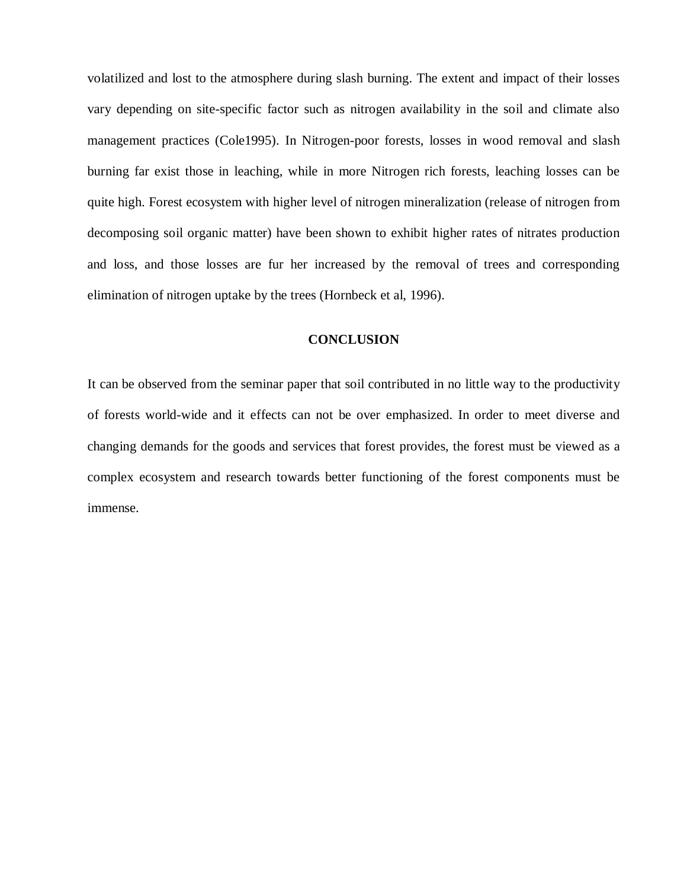volatilized and lost to the atmosphere during slash burning. The extent and impact of their losses vary depending on site-specific factor such as nitrogen availability in the soil and climate also management practices (Cole1995). In Nitrogen-poor forests, losses in wood removal and slash burning far exist those in leaching, while in more Nitrogen rich forests, leaching losses can be quite high. Forest ecosystem with higher level of nitrogen mineralization (release of nitrogen from decomposing soil organic matter) have been shown to exhibit higher rates of nitrates production and loss, and those losses are fur her increased by the removal of trees and corresponding elimination of nitrogen uptake by the trees (Hornbeck et al, 1996).

#### **CONCLUSION**

It can be observed from the seminar paper that soil contributed in no little way to the productivity of forests world-wide and it effects can not be over emphasized. In order to meet diverse and changing demands for the goods and services that forest provides, the forest must be viewed as a complex ecosystem and research towards better functioning of the forest components must be immense.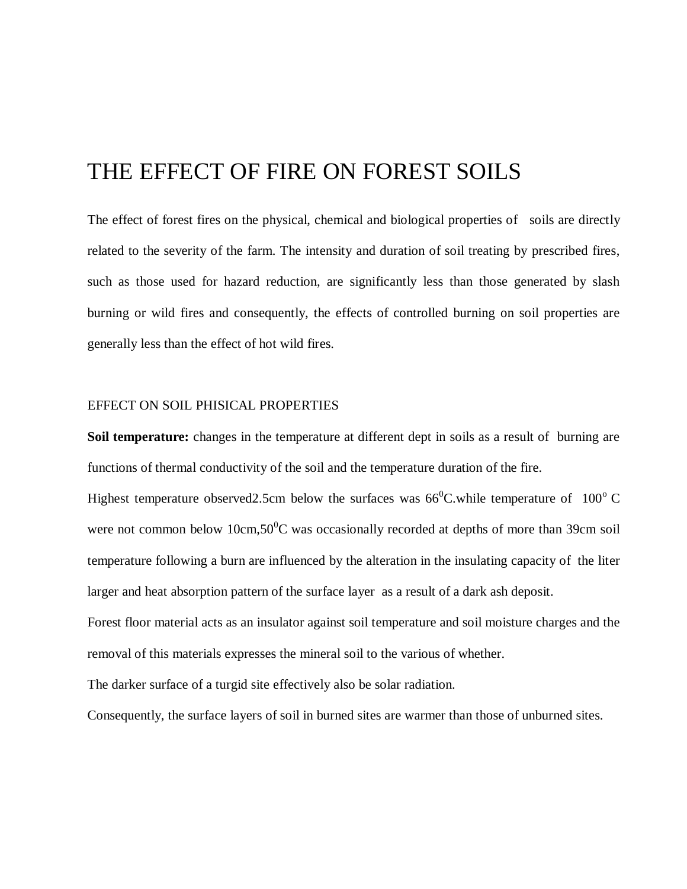## THE EFFECT OF FIRE ON FOREST SOILS

The effect of forest fires on the physical, chemical and biological properties of soils are directly related to the severity of the farm. The intensity and duration of soil treating by prescribed fires, such as those used for hazard reduction, are significantly less than those generated by slash burning or wild fires and consequently, the effects of controlled burning on soil properties are generally less than the effect of hot wild fires.

#### EFFECT ON SOIL PHISICAL PROPERTIES

**Soil temperature:** changes in the temperature at different dept in soils as a result of burning are functions of thermal conductivity of the soil and the temperature duration of the fire.

Highest temperature observed 2.5cm below the surfaces was  $66^{\circ}$ C.while temperature of 100<sup>°</sup>C. were not common below 10cm,50 $\degree$ C was occasionally recorded at depths of more than 39cm soil temperature following a burn are influenced by the alteration in the insulating capacity of the liter larger and heat absorption pattern of the surface layer as a result of a dark ash deposit.

Forest floor material acts as an insulator against soil temperature and soil moisture charges and the removal of this materials expresses the mineral soil to the various of whether.

The darker surface of a turgid site effectively also be solar radiation.

Consequently, the surface layers of soil in burned sites are warmer than those of unburned sites.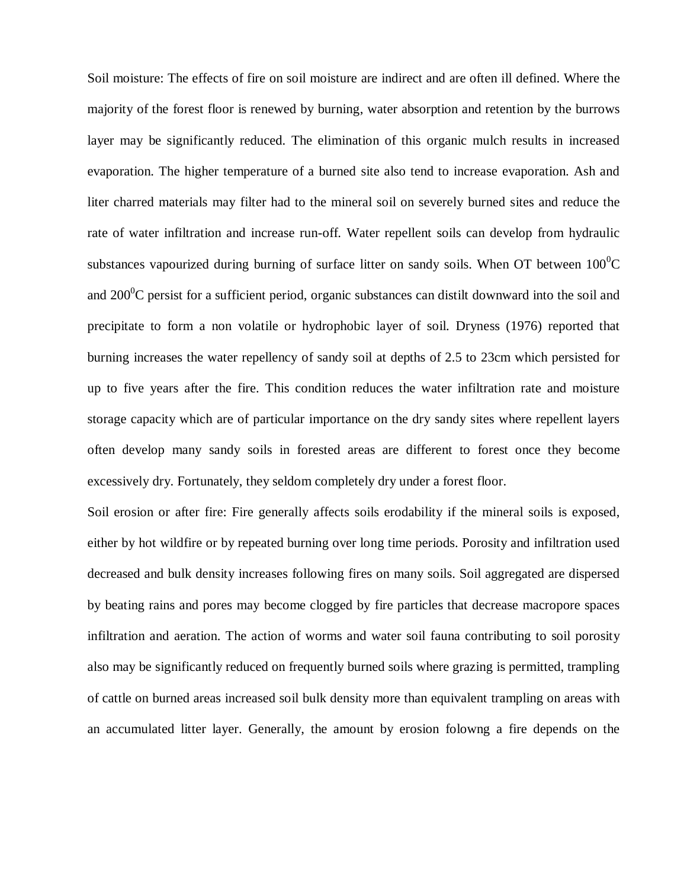Soil moisture: The effects of fire on soil moisture are indirect and are often ill defined. Where the majority of the forest floor is renewed by burning, water absorption and retention by the burrows layer may be significantly reduced. The elimination of this organic mulch results in increased evaporation. The higher temperature of a burned site also tend to increase evaporation. Ash and liter charred materials may filter had to the mineral soil on severely burned sites and reduce the rate of water infiltration and increase run-off. Water repellent soils can develop from hydraulic substances vapourized during burning of surface litter on sandy soils. When OT between  $100^{\circ}$ C and  $200^{\circ}$ C persist for a sufficient period, organic substances can distilt downward into the soil and precipitate to form a non volatile or hydrophobic layer of soil. Dryness (1976) reported that burning increases the water repellency of sandy soil at depths of 2.5 to 23cm which persisted for up to five years after the fire. This condition reduces the water infiltration rate and moisture storage capacity which are of particular importance on the dry sandy sites where repellent layers often develop many sandy soils in forested areas are different to forest once they become excessively dry. Fortunately, they seldom completely dry under a forest floor.

Soil erosion or after fire: Fire generally affects soils erodability if the mineral soils is exposed, either by hot wildfire or by repeated burning over long time periods. Porosity and infiltration used decreased and bulk density increases following fires on many soils. Soil aggregated are dispersed by beating rains and pores may become clogged by fire particles that decrease macropore spaces infiltration and aeration. The action of worms and water soil fauna contributing to soil porosity also may be significantly reduced on frequently burned soils where grazing is permitted, trampling of cattle on burned areas increased soil bulk density more than equivalent trampling on areas with an accumulated litter layer. Generally, the amount by erosion folowng a fire depends on the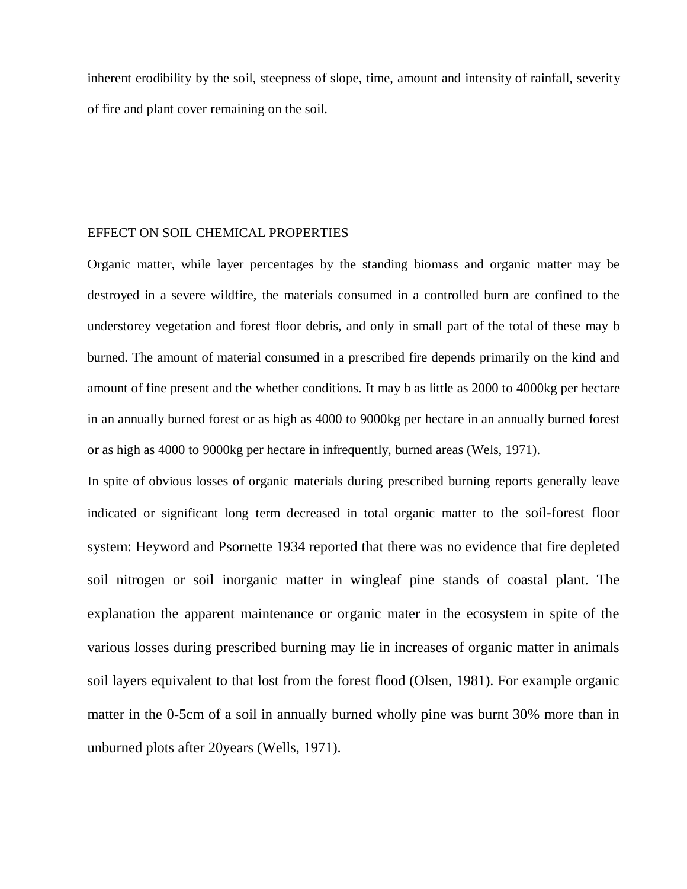inherent erodibility by the soil, steepness of slope, time, amount and intensity of rainfall, severity of fire and plant cover remaining on the soil.

#### EFFECT ON SOIL CHEMICAL PROPERTIES

Organic matter, while layer percentages by the standing biomass and organic matter may be destroyed in a severe wildfire, the materials consumed in a controlled burn are confined to the understorey vegetation and forest floor debris, and only in small part of the total of these may b burned. The amount of material consumed in a prescribed fire depends primarily on the kind and amount of fine present and the whether conditions. It may b as little as 2000 to 4000kg per hectare in an annually burned forest or as high as 4000 to 9000kg per hectare in an annually burned forest or as high as 4000 to 9000kg per hectare in infrequently, burned areas (Wels, 1971).

In spite of obvious losses of organic materials during prescribed burning reports generally leave indicated or significant long term decreased in total organic matter to the soil-forest floor system: Heyword and Psornette 1934 reported that there was no evidence that fire depleted soil nitrogen or soil inorganic matter in wingleaf pine stands of coastal plant. The explanation the apparent maintenance or organic mater in the ecosystem in spite of the various losses during prescribed burning may lie in increases of organic matter in animals soil layers equivalent to that lost from the forest flood (Olsen, 1981). For example organic matter in the 0-5cm of a soil in annually burned wholly pine was burnt 30% more than in unburned plots after 20years (Wells, 1971).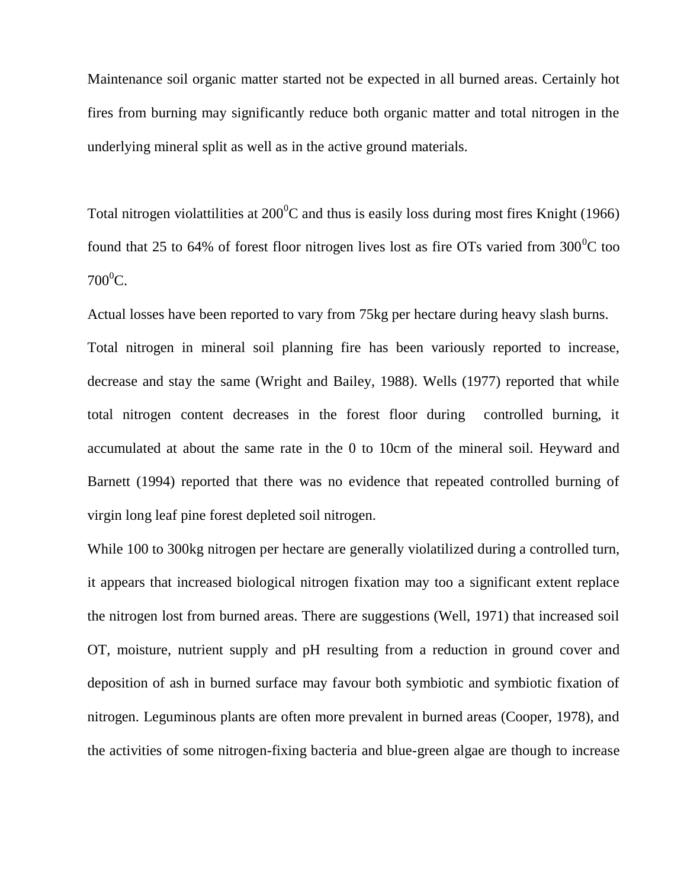Maintenance soil organic matter started not be expected in all burned areas. Certainly hot fires from burning may significantly reduce both organic matter and total nitrogen in the underlying mineral split as well as in the active ground materials.

Total nitrogen violattilities at  $200^{\circ}$ C and thus is easily loss during most fires Knight (1966) found that 25 to 64% of forest floor nitrogen lives lost as fire OTs varied from  $300^{\circ}$ C too  $700^0C$ .

Actual losses have been reported to vary from 75kg per hectare during heavy slash burns. Total nitrogen in mineral soil planning fire has been variously reported to increase, decrease and stay the same (Wright and Bailey, 1988). Wells (1977) reported that while total nitrogen content decreases in the forest floor during controlled burning, it accumulated at about the same rate in the 0 to 10cm of the mineral soil. Heyward and Barnett (1994) reported that there was no evidence that repeated controlled burning of virgin long leaf pine forest depleted soil nitrogen.

While 100 to 300kg nitrogen per hectare are generally violatilized during a controlled turn, it appears that increased biological nitrogen fixation may too a significant extent replace the nitrogen lost from burned areas. There are suggestions (Well, 1971) that increased soil OT, moisture, nutrient supply and pH resulting from a reduction in ground cover and deposition of ash in burned surface may favour both symbiotic and symbiotic fixation of nitrogen. Leguminous plants are often more prevalent in burned areas (Cooper, 1978), and the activities of some nitrogen-fixing bacteria and blue-green algae are though to increase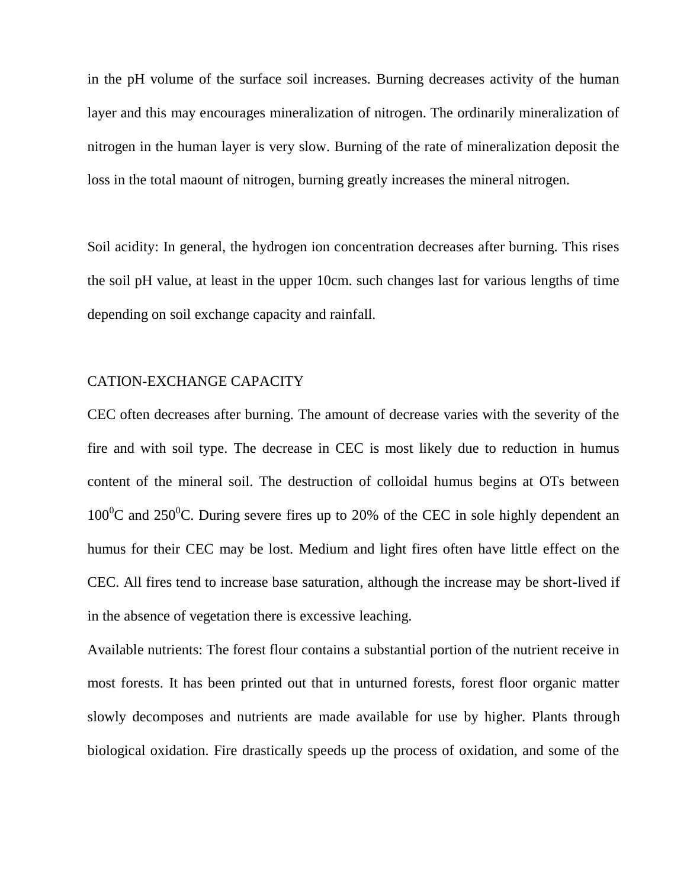in the pH volume of the surface soil increases. Burning decreases activity of the human layer and this may encourages mineralization of nitrogen. The ordinarily mineralization of nitrogen in the human layer is very slow. Burning of the rate of mineralization deposit the loss in the total maount of nitrogen, burning greatly increases the mineral nitrogen.

Soil acidity: In general, the hydrogen ion concentration decreases after burning. This rises the soil pH value, at least in the upper 10cm. such changes last for various lengths of time depending on soil exchange capacity and rainfall.

#### CATION-EXCHANGE CAPACITY

CEC often decreases after burning. The amount of decrease varies with the severity of the fire and with soil type. The decrease in CEC is most likely due to reduction in humus content of the mineral soil. The destruction of colloidal humus begins at OTs between  $100^{\circ}$ C and  $250^{\circ}$ C. During severe fires up to 20% of the CEC in sole highly dependent an humus for their CEC may be lost. Medium and light fires often have little effect on the CEC. All fires tend to increase base saturation, although the increase may be short-lived if in the absence of vegetation there is excessive leaching.

Available nutrients: The forest flour contains a substantial portion of the nutrient receive in most forests. It has been printed out that in unturned forests, forest floor organic matter slowly decomposes and nutrients are made available for use by higher. Plants through biological oxidation. Fire drastically speeds up the process of oxidation, and some of the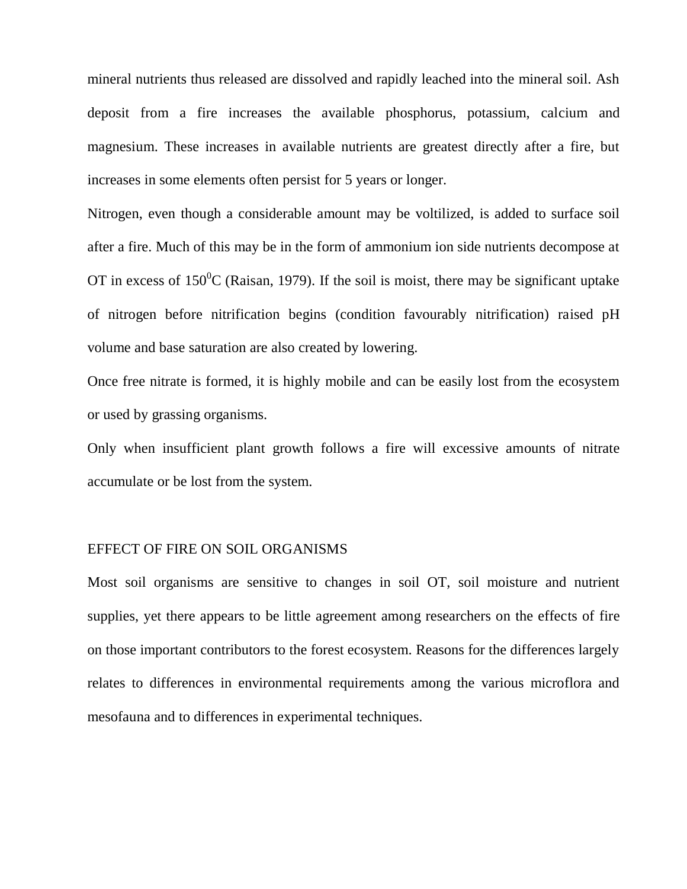mineral nutrients thus released are dissolved and rapidly leached into the mineral soil. Ash deposit from a fire increases the available phosphorus, potassium, calcium and magnesium. These increases in available nutrients are greatest directly after a fire, but increases in some elements often persist for 5 years or longer.

Nitrogen, even though a considerable amount may be voltilized, is added to surface soil after a fire. Much of this may be in the form of ammonium ion side nutrients decompose at OT in excess of  $150^{\circ}$ C (Raisan, 1979). If the soil is moist, there may be significant uptake of nitrogen before nitrification begins (condition favourably nitrification) raised pH volume and base saturation are also created by lowering.

Once free nitrate is formed, it is highly mobile and can be easily lost from the ecosystem or used by grassing organisms.

Only when insufficient plant growth follows a fire will excessive amounts of nitrate accumulate or be lost from the system.

#### EFFECT OF FIRE ON SOIL ORGANISMS

Most soil organisms are sensitive to changes in soil OT, soil moisture and nutrient supplies, yet there appears to be little agreement among researchers on the effects of fire on those important contributors to the forest ecosystem. Reasons for the differences largely relates to differences in environmental requirements among the various microflora and mesofauna and to differences in experimental techniques.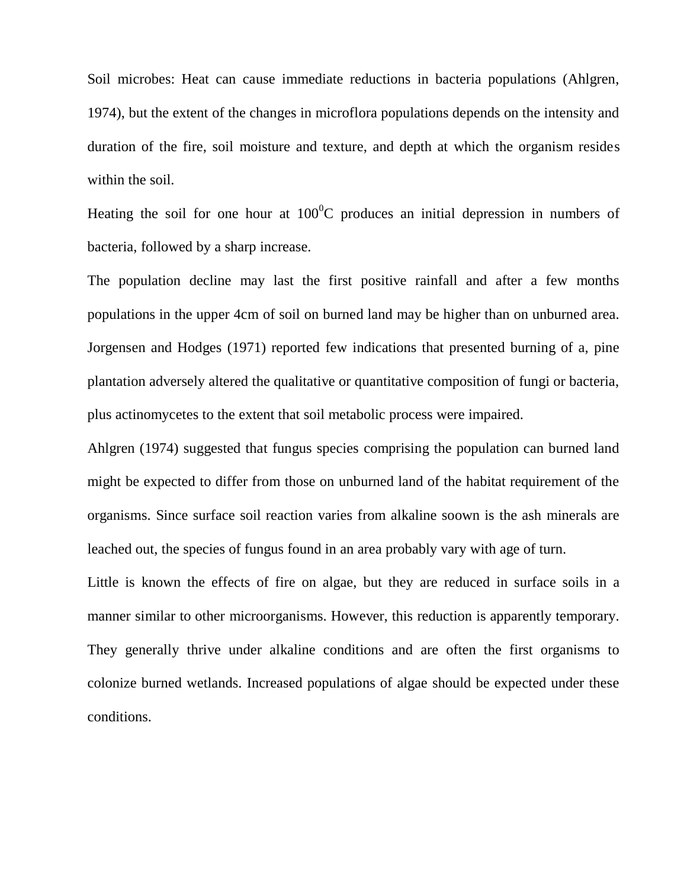Soil microbes: Heat can cause immediate reductions in bacteria populations (Ahlgren, 1974), but the extent of the changes in microflora populations depends on the intensity and duration of the fire, soil moisture and texture, and depth at which the organism resides within the soil.

Heating the soil for one hour at  $100^{\circ}$ C produces an initial depression in numbers of bacteria, followed by a sharp increase.

The population decline may last the first positive rainfall and after a few months populations in the upper 4cm of soil on burned land may be higher than on unburned area. Jorgensen and Hodges (1971) reported few indications that presented burning of a, pine plantation adversely altered the qualitative or quantitative composition of fungi or bacteria, plus actinomycetes to the extent that soil metabolic process were impaired.

Ahlgren (1974) suggested that fungus species comprising the population can burned land might be expected to differ from those on unburned land of the habitat requirement of the organisms. Since surface soil reaction varies from alkaline soown is the ash minerals are leached out, the species of fungus found in an area probably vary with age of turn.

Little is known the effects of fire on algae, but they are reduced in surface soils in a manner similar to other microorganisms. However, this reduction is apparently temporary. They generally thrive under alkaline conditions and are often the first organisms to colonize burned wetlands. Increased populations of algae should be expected under these conditions.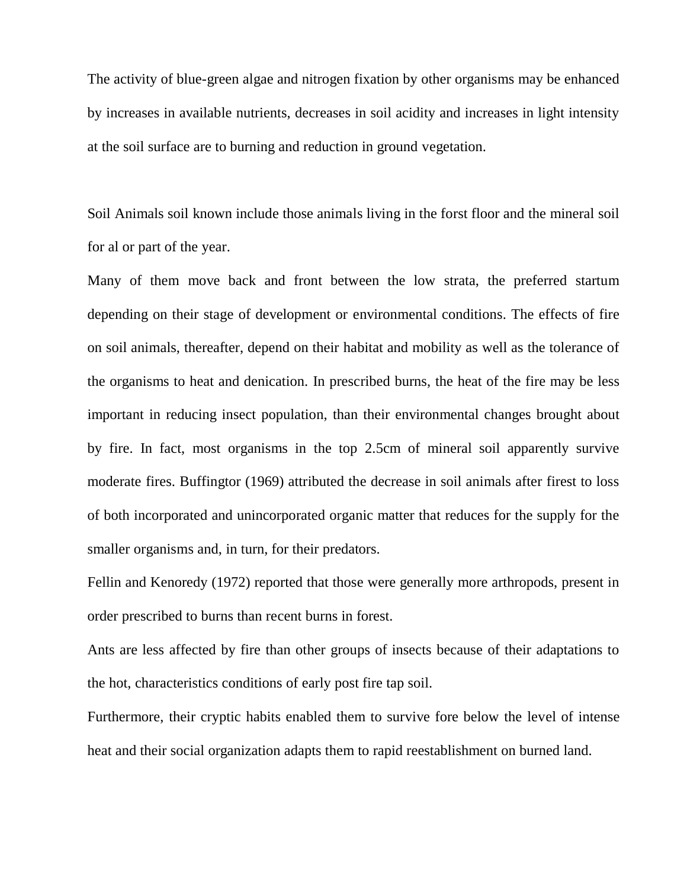The activity of blue-green algae and nitrogen fixation by other organisms may be enhanced by increases in available nutrients, decreases in soil acidity and increases in light intensity at the soil surface are to burning and reduction in ground vegetation.

Soil Animals soil known include those animals living in the forst floor and the mineral soil for al or part of the year.

Many of them move back and front between the low strata, the preferred startum depending on their stage of development or environmental conditions. The effects of fire on soil animals, thereafter, depend on their habitat and mobility as well as the tolerance of the organisms to heat and denication. In prescribed burns, the heat of the fire may be less important in reducing insect population, than their environmental changes brought about by fire. In fact, most organisms in the top 2.5cm of mineral soil apparently survive moderate fires. Buffingtor (1969) attributed the decrease in soil animals after firest to loss of both incorporated and unincorporated organic matter that reduces for the supply for the smaller organisms and, in turn, for their predators.

Fellin and Kenoredy (1972) reported that those were generally more arthropods, present in order prescribed to burns than recent burns in forest.

Ants are less affected by fire than other groups of insects because of their adaptations to the hot, characteristics conditions of early post fire tap soil.

Furthermore, their cryptic habits enabled them to survive fore below the level of intense heat and their social organization adapts them to rapid reestablishment on burned land.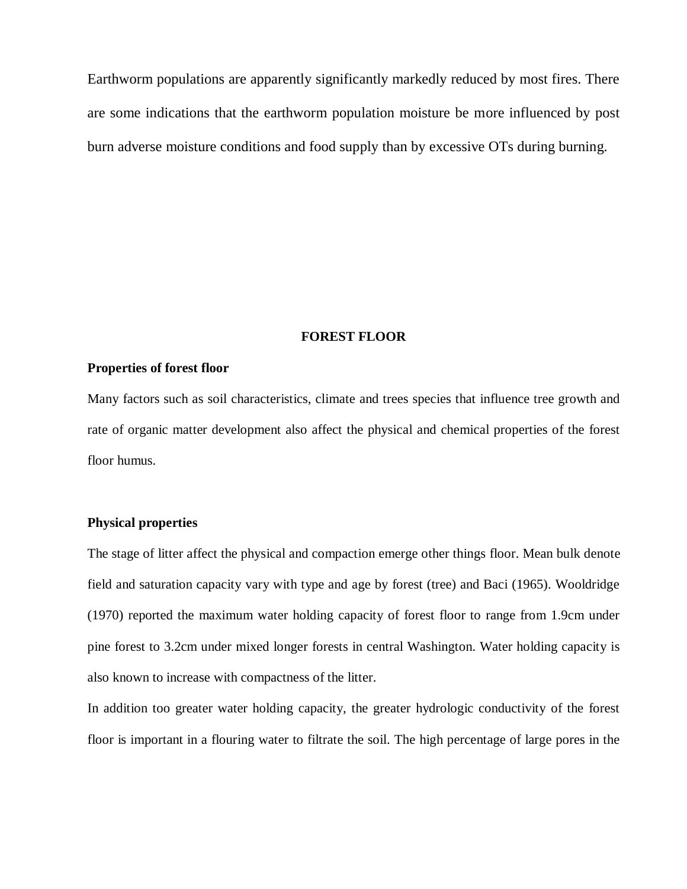Earthworm populations are apparently significantly markedly reduced by most fires. There are some indications that the earthworm population moisture be more influenced by post burn adverse moisture conditions and food supply than by excessive OTs during burning.

#### **FOREST FLOOR**

#### **Properties of forest floor**

Many factors such as soil characteristics, climate and trees species that influence tree growth and rate of organic matter development also affect the physical and chemical properties of the forest floor humus.

#### **Physical properties**

The stage of litter affect the physical and compaction emerge other things floor. Mean bulk denote field and saturation capacity vary with type and age by forest (tree) and Baci (1965). Wooldridge (1970) reported the maximum water holding capacity of forest floor to range from 1.9cm under pine forest to 3.2cm under mixed longer forests in central Washington. Water holding capacity is also known to increase with compactness of the litter.

In addition too greater water holding capacity, the greater hydrologic conductivity of the forest floor is important in a flouring water to filtrate the soil. The high percentage of large pores in the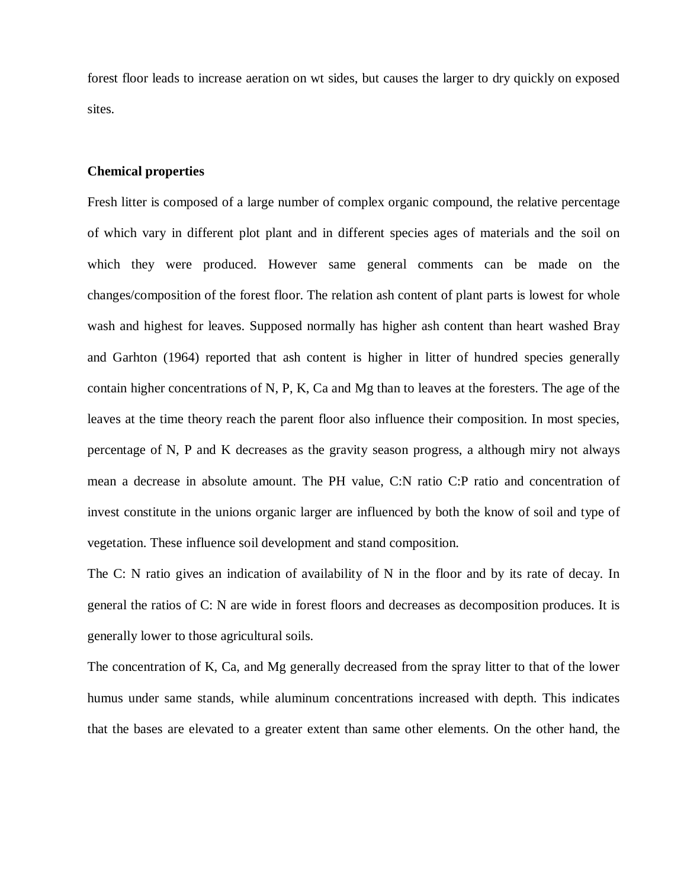forest floor leads to increase aeration on wt sides, but causes the larger to dry quickly on exposed sites.

#### **Chemical properties**

Fresh litter is composed of a large number of complex organic compound, the relative percentage of which vary in different plot plant and in different species ages of materials and the soil on which they were produced. However same general comments can be made on the changes/composition of the forest floor. The relation ash content of plant parts is lowest for whole wash and highest for leaves. Supposed normally has higher ash content than heart washed Bray and Garhton (1964) reported that ash content is higher in litter of hundred species generally contain higher concentrations of N, P, K, Ca and Mg than to leaves at the foresters. The age of the leaves at the time theory reach the parent floor also influence their composition. In most species, percentage of N, P and K decreases as the gravity season progress, a although miry not always mean a decrease in absolute amount. The PH value, C:N ratio C:P ratio and concentration of invest constitute in the unions organic larger are influenced by both the know of soil and type of vegetation. These influence soil development and stand composition.

The C: N ratio gives an indication of availability of N in the floor and by its rate of decay. In general the ratios of C: N are wide in forest floors and decreases as decomposition produces. It is generally lower to those agricultural soils.

The concentration of K, Ca, and Mg generally decreased from the spray litter to that of the lower humus under same stands, while aluminum concentrations increased with depth. This indicates that the bases are elevated to a greater extent than same other elements. On the other hand, the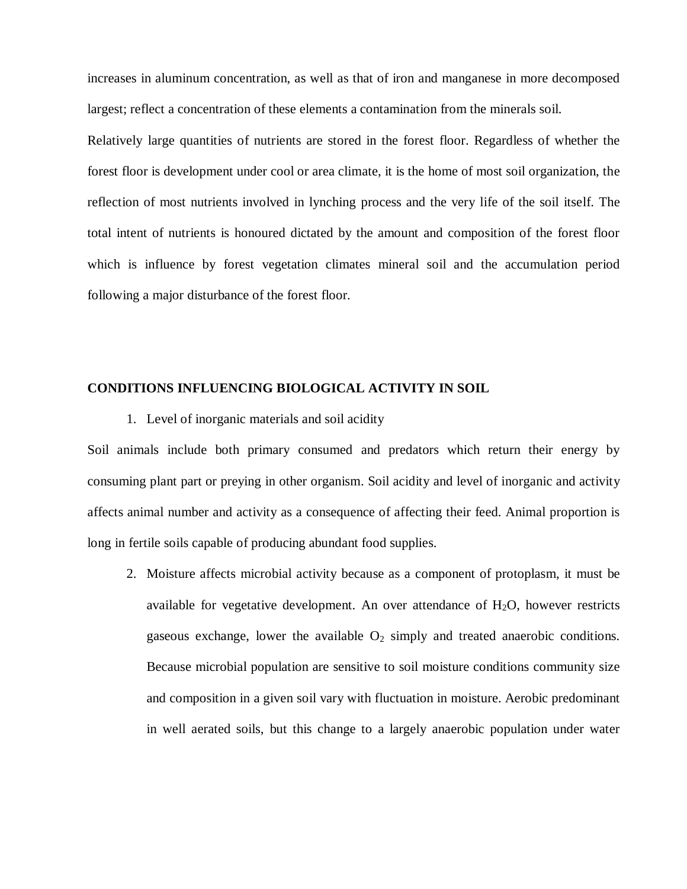increases in aluminum concentration, as well as that of iron and manganese in more decomposed largest; reflect a concentration of these elements a contamination from the minerals soil.

Relatively large quantities of nutrients are stored in the forest floor. Regardless of whether the forest floor is development under cool or area climate, it is the home of most soil organization, the reflection of most nutrients involved in lynching process and the very life of the soil itself. The total intent of nutrients is honoured dictated by the amount and composition of the forest floor which is influence by forest vegetation climates mineral soil and the accumulation period following a major disturbance of the forest floor.

#### **CONDITIONS INFLUENCING BIOLOGICAL ACTIVITY IN SOIL**

1. Level of inorganic materials and soil acidity

Soil animals include both primary consumed and predators which return their energy by consuming plant part or preying in other organism. Soil acidity and level of inorganic and activity affects animal number and activity as a consequence of affecting their feed. Animal proportion is long in fertile soils capable of producing abundant food supplies.

2. Moisture affects microbial activity because as a component of protoplasm, it must be available for vegetative development. An over attendance of  $H_2O$ , however restricts gaseous exchange, lower the available  $O_2$  simply and treated anaerobic conditions. Because microbial population are sensitive to soil moisture conditions community size and composition in a given soil vary with fluctuation in moisture. Aerobic predominant in well aerated soils, but this change to a largely anaerobic population under water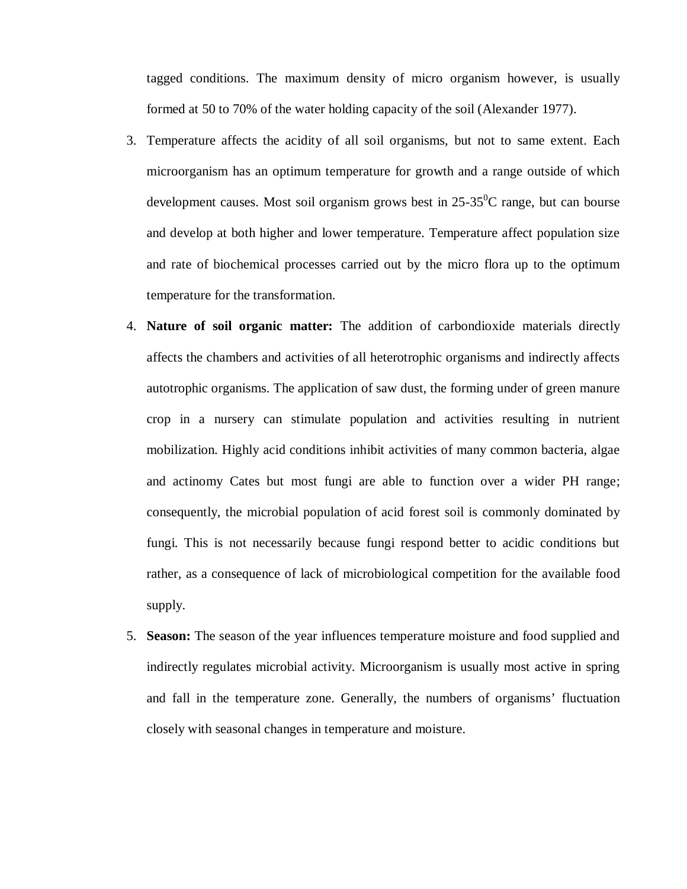tagged conditions. The maximum density of micro organism however, is usually formed at 50 to 70% of the water holding capacity of the soil (Alexander 1977).

- 3. Temperature affects the acidity of all soil organisms, but not to same extent. Each microorganism has an optimum temperature for growth and a range outside of which development causes. Most soil organism grows best in  $25\text{-}35\textsuperscript{0}C$  range, but can bourse and develop at both higher and lower temperature. Temperature affect population size and rate of biochemical processes carried out by the micro flora up to the optimum temperature for the transformation.
- 4. **Nature of soil organic matter:** The addition of carbondioxide materials directly affects the chambers and activities of all heterotrophic organisms and indirectly affects autotrophic organisms. The application of saw dust, the forming under of green manure crop in a nursery can stimulate population and activities resulting in nutrient mobilization. Highly acid conditions inhibit activities of many common bacteria, algae and actinomy Cates but most fungi are able to function over a wider PH range; consequently, the microbial population of acid forest soil is commonly dominated by fungi. This is not necessarily because fungi respond better to acidic conditions but rather, as a consequence of lack of microbiological competition for the available food supply.
- 5. **Season:** The season of the year influences temperature moisture and food supplied and indirectly regulates microbial activity. Microorganism is usually most active in spring and fall in the temperature zone. Generally, the numbers of organisms' fluctuation closely with seasonal changes in temperature and moisture.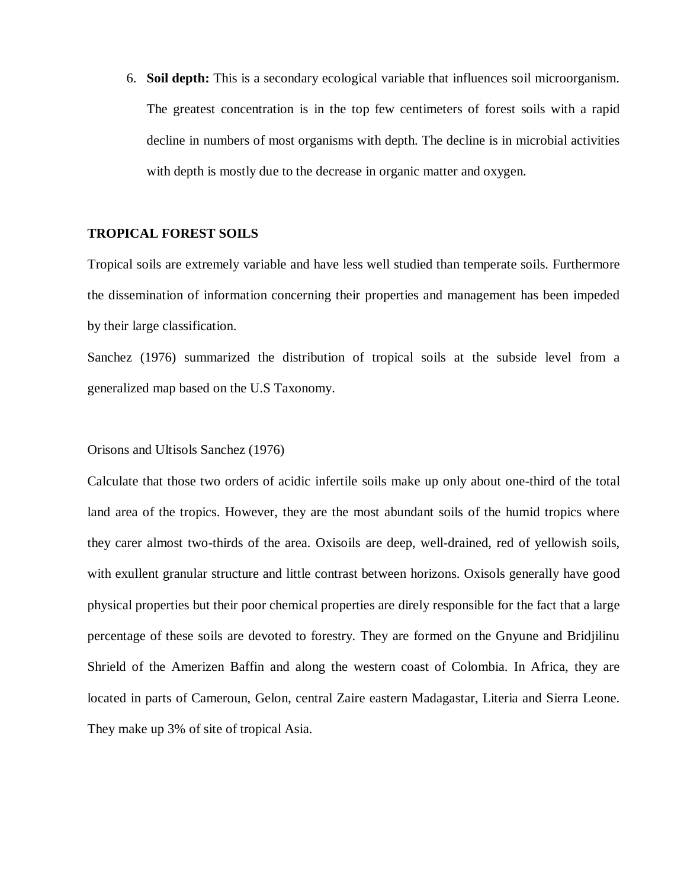6. **Soil depth:** This is a secondary ecological variable that influences soil microorganism. The greatest concentration is in the top few centimeters of forest soils with a rapid decline in numbers of most organisms with depth. The decline is in microbial activities with depth is mostly due to the decrease in organic matter and oxygen.

#### **TROPICAL FOREST SOILS**

Tropical soils are extremely variable and have less well studied than temperate soils. Furthermore the dissemination of information concerning their properties and management has been impeded by their large classification.

Sanchez (1976) summarized the distribution of tropical soils at the subside level from a generalized map based on the U.S Taxonomy.

Orisons and Ultisols Sanchez (1976)

Calculate that those two orders of acidic infertile soils make up only about one-third of the total land area of the tropics. However, they are the most abundant soils of the humid tropics where they carer almost two-thirds of the area. Oxisoils are deep, well-drained, red of yellowish soils, with exullent granular structure and little contrast between horizons. Oxisols generally have good physical properties but their poor chemical properties are direly responsible for the fact that a large percentage of these soils are devoted to forestry. They are formed on the Gnyune and Bridjilinu Shrield of the Amerizen Baffin and along the western coast of Colombia. In Africa, they are located in parts of Cameroun, Gelon, central Zaire eastern Madagastar, Literia and Sierra Leone. They make up 3% of site of tropical Asia.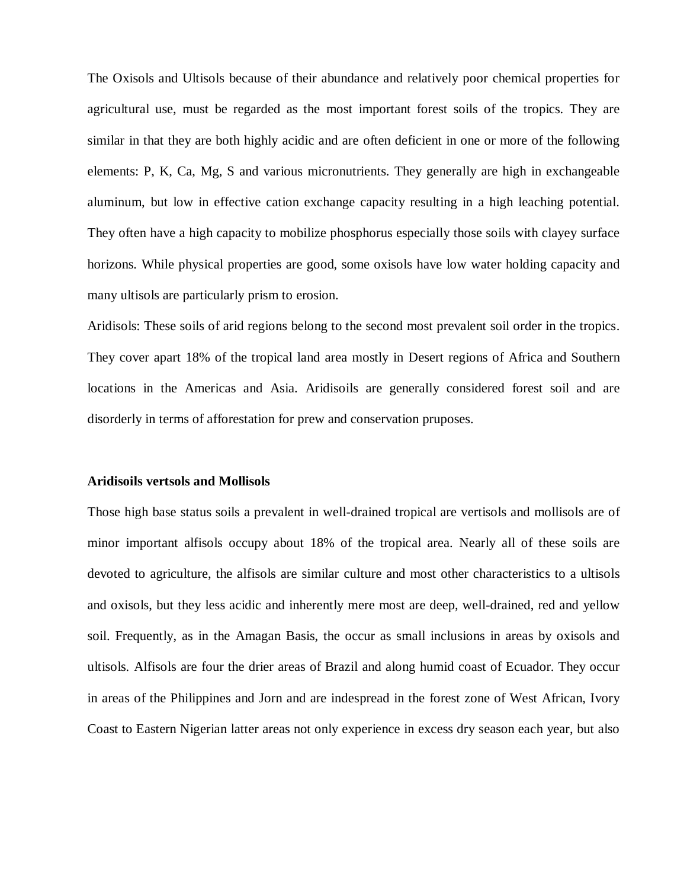The Oxisols and Ultisols because of their abundance and relatively poor chemical properties for agricultural use, must be regarded as the most important forest soils of the tropics. They are similar in that they are both highly acidic and are often deficient in one or more of the following elements: P, K, Ca, Mg, S and various micronutrients. They generally are high in exchangeable aluminum, but low in effective cation exchange capacity resulting in a high leaching potential. They often have a high capacity to mobilize phosphorus especially those soils with clayey surface horizons. While physical properties are good, some oxisols have low water holding capacity and many ultisols are particularly prism to erosion.

Aridisols: These soils of arid regions belong to the second most prevalent soil order in the tropics. They cover apart 18% of the tropical land area mostly in Desert regions of Africa and Southern locations in the Americas and Asia. Aridisoils are generally considered forest soil and are disorderly in terms of afforestation for prew and conservation pruposes.

#### **Aridisoils vertsols and Mollisols**

Those high base status soils a prevalent in well-drained tropical are vertisols and mollisols are of minor important alfisols occupy about 18% of the tropical area. Nearly all of these soils are devoted to agriculture, the alfisols are similar culture and most other characteristics to a ultisols and oxisols, but they less acidic and inherently mere most are deep, well-drained, red and yellow soil. Frequently, as in the Amagan Basis, the occur as small inclusions in areas by oxisols and ultisols. Alfisols are four the drier areas of Brazil and along humid coast of Ecuador. They occur in areas of the Philippines and Jorn and are indespread in the forest zone of West African, Ivory Coast to Eastern Nigerian latter areas not only experience in excess dry season each year, but also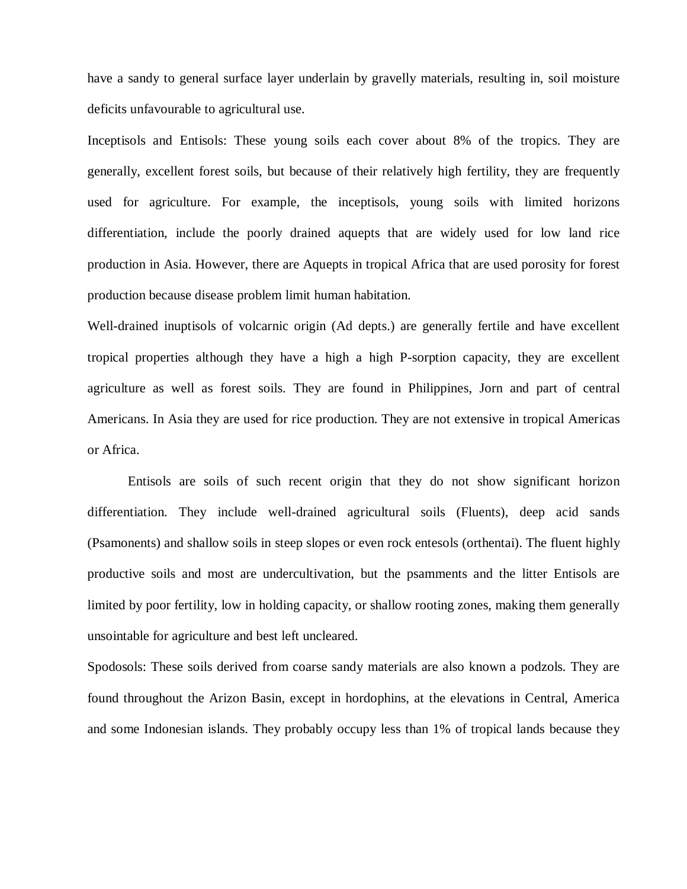have a sandy to general surface layer underlain by gravelly materials, resulting in, soil moisture deficits unfavourable to agricultural use.

Inceptisols and Entisols: These young soils each cover about 8% of the tropics. They are generally, excellent forest soils, but because of their relatively high fertility, they are frequently used for agriculture. For example, the inceptisols, young soils with limited horizons differentiation, include the poorly drained aquepts that are widely used for low land rice production in Asia. However, there are Aquepts in tropical Africa that are used porosity for forest production because disease problem limit human habitation.

Well-drained inuptisols of volcarnic origin (Ad depts.) are generally fertile and have excellent tropical properties although they have a high a high P-sorption capacity, they are excellent agriculture as well as forest soils. They are found in Philippines, Jorn and part of central Americans. In Asia they are used for rice production. They are not extensive in tropical Americas or Africa.

Entisols are soils of such recent origin that they do not show significant horizon differentiation. They include well-drained agricultural soils (Fluents), deep acid sands (Psamonents) and shallow soils in steep slopes or even rock entesols (orthentai). The fluent highly productive soils and most are undercultivation, but the psamments and the litter Entisols are limited by poor fertility, low in holding capacity, or shallow rooting zones, making them generally unsointable for agriculture and best left uncleared.

Spodosols: These soils derived from coarse sandy materials are also known a podzols. They are found throughout the Arizon Basin, except in hordophins, at the elevations in Central, America and some Indonesian islands. They probably occupy less than 1% of tropical lands because they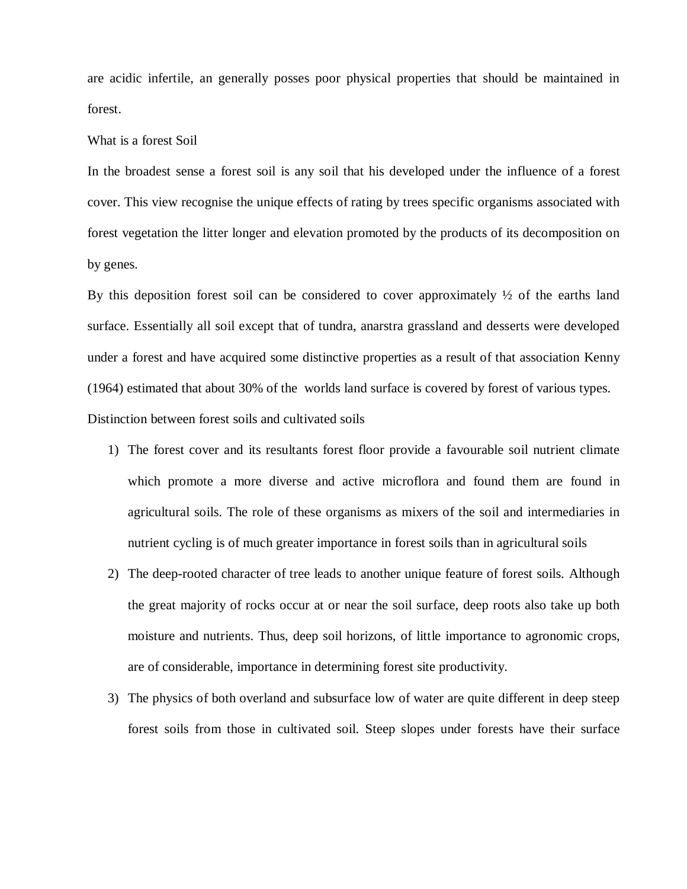are acidic infertile, an generally posses poor physical properties that should be maintained in forest.

#### What is a forest Soil

In the broadest sense a forest soil is any soil that his developed under the influence of a forest cover. This view recognise the unique effects of rating by trees specific organisms associated with forest vegetation the litter longer and elevation promoted by the products of its decomposition on by genes.

By this deposition forest soil can be considered to cover approximately  $\frac{1}{2}$  of the earths land surface. Essentially all soil except that of tundra, anarstra grassland and desserts were developed under a forest and have acquired some distinctive properties as a result of that association Kenny (1964) estimated that about 30% of the worlds land surface is covered by forest of various types.

Distinction between forest soils and cultivated soils

- 1) The forest cover and its resultants forest floor provide a favourable soil nutrient climate which promote a more diverse and active microflora and found them are found in agricultural soils. The role of these organisms as mixers of the soil and intermediaries in nutrient cycling is of much greater importance in forest soils than in agricultural soils
- 2) The deep-rooted character of tree leads to another unique feature of forest soils. Although the great majority of rocks occur at or near the soil surface, deep roots also take up both moisture and nutrients. Thus, deep soil horizons, of little importance to agronomic crops, are of considerable, importance in determining forest site productivity.
- 3) The physics of both overland and subsurface low of water are quite different in deep steep forest soils from those in cultivated soil. Steep slopes under forests have their surface